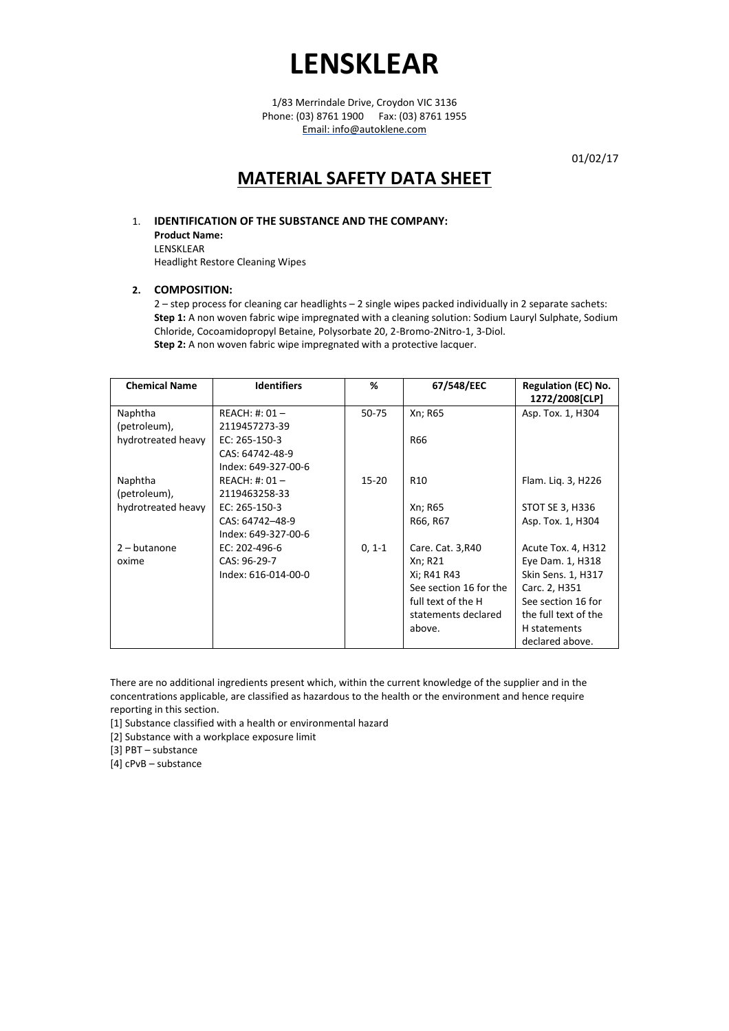1/83 Merrindale Drive, Croydon VIC 3136 Phone: (03) 8761 1900 Fax: (03) 8761 1955 Email: info@autoklene.com

01/02/17

# **MATERIAL SAFETY DATA SHEET**

# 1. **IDENTIFICATION OF THE SUBSTANCE AND THE COMPANY:**

**Product Name:** LENSKLEAR Headlight Restore Cleaning Wipes

# **2. COMPOSITION:**

2 – step process for cleaning car headlights – 2 single wipes packed individually in 2 separate sachets: **Step 1:** A non woven fabric wipe impregnated with a cleaning solution: Sodium Lauryl Sulphate, Sodium Chloride, Cocoamidopropyl Betaine, Polysorbate 20, 2-Bromo-2Nitro-1, 3-Diol. **Step 2:** A non woven fabric wipe impregnated with a protective lacquer.

| <b>Chemical Name</b> | <b>Identifiers</b>  | ℅         | 67/548/EEC             | <b>Regulation (EC) No.</b><br>1272/2008[CLP] |
|----------------------|---------------------|-----------|------------------------|----------------------------------------------|
| Naphtha              | $REACH: #: 01 -$    | 50-75     | Xn; R65                | Asp. Tox. 1, H304                            |
| (petroleum),         | 2119457273-39       |           |                        |                                              |
| hydrotreated heavy   | EC: 265-150-3       |           | R66                    |                                              |
|                      | CAS: 64742-48-9     |           |                        |                                              |
|                      | Index: 649-327-00-6 |           |                        |                                              |
| Naphtha              | $REACH: #: 01 -$    | $15 - 20$ | R <sub>10</sub>        | Flam. Lig. 3, H226                           |
| (petroleum),         | 2119463258-33       |           |                        |                                              |
| hydrotreated heavy   | EC: 265-150-3       |           | Xn; R65                | STOT SE 3, H336                              |
|                      | CAS: 64742-48-9     |           | R66, R67               | Asp. Tox. 1, H304                            |
|                      | Index: 649-327-00-6 |           |                        |                                              |
| $2 - but an one$     | EC: 202-496-6       | $0, 1-1$  | Care. Cat. 3,R40       | Acute Tox. 4, H312                           |
| oxime                | CAS: 96-29-7        |           | Xn; R21                | Eye Dam. 1, H318                             |
|                      | Index: 616-014-00-0 |           | Xi; R41 R43            | Skin Sens. 1, H317                           |
|                      |                     |           | See section 16 for the | Carc. 2, H351                                |
|                      |                     |           | full text of the H     | See section 16 for                           |
|                      |                     |           | statements declared    | the full text of the                         |
|                      |                     |           | above.                 | H statements                                 |
|                      |                     |           |                        | declared above.                              |

There are no additional ingredients present which, within the current knowledge of the supplier and in the concentrations applicable, are classified as hazardous to the health or the environment and hence require reporting in this section.

[1] Substance classified with a health or environmental hazard

[2] Substance with a workplace exposure limit

[3] PBT – substance

[4] cPvB – substance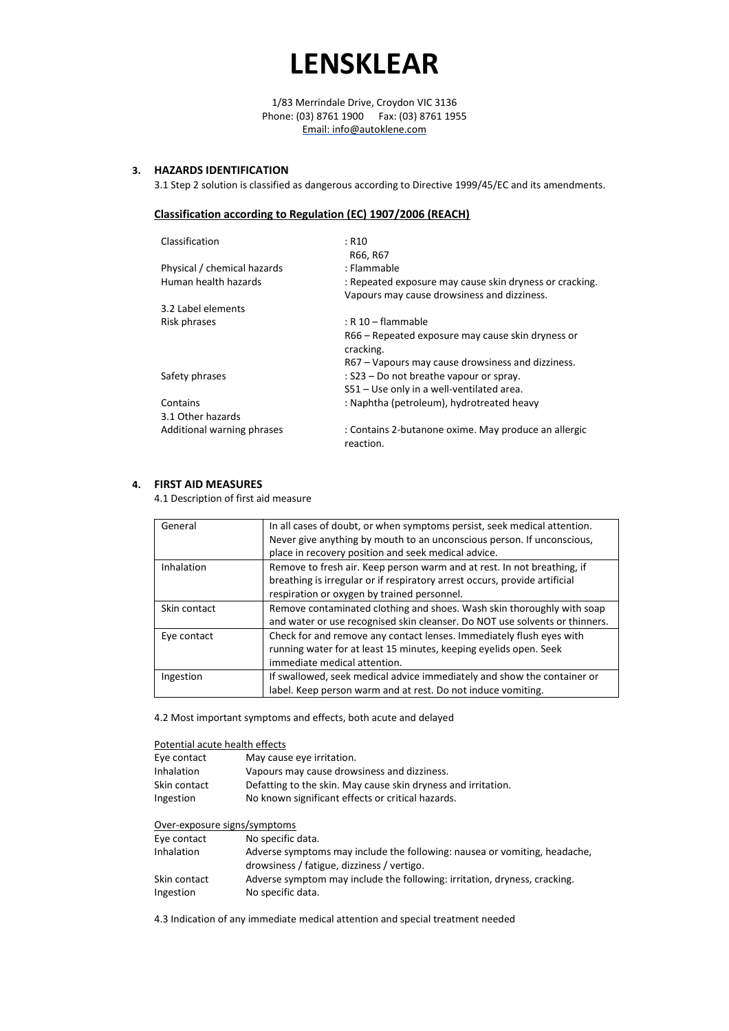1/83 Merrindale Drive, Croydon VIC 3136 Phone: (03) 8761 1900 Fax: (03) 8761 1955 Email: info@autoklene.com

# **3. HAZARDS IDENTIFICATION**

3.1 Step 2 solution is classified as dangerous according to Directive 1999/45/EC and its amendments.

## **Classification according to Regulation (EC) 1907/2006 (REACH)**

| Classification              | : R10<br>R66, R67                                       |
|-----------------------------|---------------------------------------------------------|
| Physical / chemical hazards | : Flammable                                             |
| Human health hazards        | : Repeated exposure may cause skin dryness or cracking. |
|                             | Vapours may cause drowsiness and dizziness.             |
| 3.2 Label elements          |                                                         |
| Risk phrases                | $:$ R 10 $-$ flammable                                  |
|                             | R66 – Repeated exposure may cause skin dryness or       |
|                             | cracking.                                               |
|                             | R67 – Vapours may cause drowsiness and dizziness.       |
| Safety phrases              | : S23 – Do not breathe vapour or spray.                 |
|                             | S51 - Use only in a well-ventilated area.               |
| Contains                    | : Naphtha (petroleum), hydrotreated heavy               |
| 3.1 Other hazards           |                                                         |
| Additional warning phrases  | : Contains 2-butanone oxime. May produce an allergic    |
|                             | reaction.                                               |
|                             |                                                         |

### **4. FIRST AID MEASURES**

4.1 Description of first aid measure

| General      | In all cases of doubt, or when symptoms persist, seek medical attention.    |
|--------------|-----------------------------------------------------------------------------|
|              | Never give anything by mouth to an unconscious person. If unconscious,      |
|              | place in recovery position and seek medical advice.                         |
| Inhalation   | Remove to fresh air. Keep person warm and at rest. In not breathing, if     |
|              | breathing is irregular or if respiratory arrest occurs, provide artificial  |
|              | respiration or oxygen by trained personnel.                                 |
| Skin contact | Remove contaminated clothing and shoes. Wash skin thoroughly with soap      |
|              | and water or use recognised skin cleanser. Do NOT use solvents or thinners. |
| Eye contact  | Check for and remove any contact lenses. Immediately flush eyes with        |
|              | running water for at least 15 minutes, keeping eyelids open. Seek           |
|              | immediate medical attention.                                                |
| Ingestion    | If swallowed, seek medical advice immediately and show the container or     |
|              | label. Keep person warm and at rest. Do not induce vomiting.                |

4.2 Most important symptoms and effects, both acute and delayed

|  | Potential acute health effects |  |  |  |  |
|--|--------------------------------|--|--|--|--|
|--|--------------------------------|--|--|--|--|

| May cause eye irritation.                                     |
|---------------------------------------------------------------|
| Vapours may cause drowsiness and dizziness.                   |
| Defatting to the skin. May cause skin dryness and irritation. |
| No known significant effects or critical hazards.             |
|                                                               |

### Over-exposure signs/symptoms

| Eye contact  | No specific data.                                                         |
|--------------|---------------------------------------------------------------------------|
| Inhalation   | Adverse symptoms may include the following: nausea or vomiting, headache, |
|              | drowsiness / fatigue, dizziness / vertigo.                                |
| Skin contact | Adverse symptom may include the following: irritation, dryness, cracking. |
| Ingestion    | No specific data.                                                         |

4.3 Indication of any immediate medical attention and special treatment needed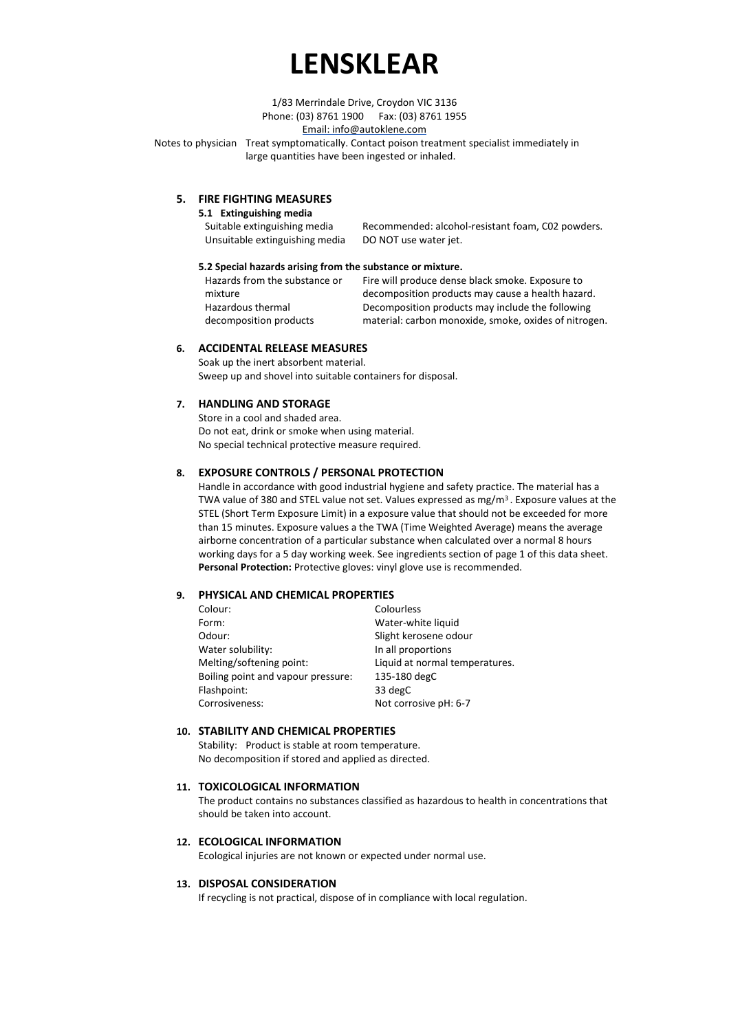1/83 Merrindale Drive, Croydon VIC 3136 Phone: (03) 8761 1900 Fax: (03) 8761 1955

Email: info@autoklene.com

Notes to physician Treat symptomatically. Contact poison treatment specialist immediately in large quantities have been ingested or inhaled.

# **5. FIRE FIGHTING MEASURES**

#### **5.1 Extinguishing media**

| .                              |                                                   |
|--------------------------------|---------------------------------------------------|
| Suitable extinguishing media   | Recommended: alcohol-resistant foam, C02 powders. |
| Unsuitable extinguishing media | DO NOT use water jet.                             |

#### **5.2 Special hazards arising from the substance or mixture.**

Hazards from the substance or mixture Hazardous thermal decomposition products

Fire will produce dense black smoke. Exposure to decomposition products may cause a health hazard. Decomposition products may include the following material: carbon monoxide, smoke, oxides of nitrogen.

# **6. ACCIDENTAL RELEASE MEASURES**

Soak up the inert absorbent material. Sweep up and shovel into suitable containers for disposal.

### **7. HANDLING AND STORAGE**

Store in a cool and shaded area. Do not eat, drink or smoke when using material. No special technical protective measure required.

### **8. EXPOSURE CONTROLS / PERSONAL PROTECTION**

Handle in accordance with good industrial hygiene and safety practice. The material has a TWA value of 380 and STEL value not set. Values expressed as mg/m<sup>3</sup> . Exposure values at the STEL (Short Term Exposure Limit) in a exposure value that should not be exceeded for more than 15 minutes. Exposure values a the TWA (Time Weighted Average) means the average airborne concentration of a particular substance when calculated over a normal 8 hours working days for a 5 day working week. See ingredients section of page 1 of this data sheet. **Personal Protection:** Protective gloves: vinyl glove use is recommended.

#### **9. PHYSICAL AND CHEMICAL PROPERTIES**

| Colour:                            | Colourless                     |
|------------------------------------|--------------------------------|
| Form:                              | Water-white liquid             |
| Odour:                             | Slight kerosene odour          |
| Water solubility:                  | In all proportions             |
| Melting/softening point:           | Liquid at normal temperatures. |
| Boiling point and vapour pressure: | 135-180 degC                   |
| Flashpoint:                        | 33 degC                        |
| Corrosiveness:                     | Not corrosive pH: 6-7          |

#### **10. STABILITY AND CHEMICAL PROPERTIES**

Stability: Product is stable at room temperature. No decomposition if stored and applied as directed.

#### **11. TOXICOLOGICAL INFORMATION**

The product contains no substances classified as hazardous to health in concentrations that should be taken into account.

#### **12. ECOLOGICAL INFORMATION**

Ecological injuries are not known or expected under normal use.

#### **13. DISPOSAL CONSIDERATION**

If recycling is not practical, dispose of in compliance with local regulation.